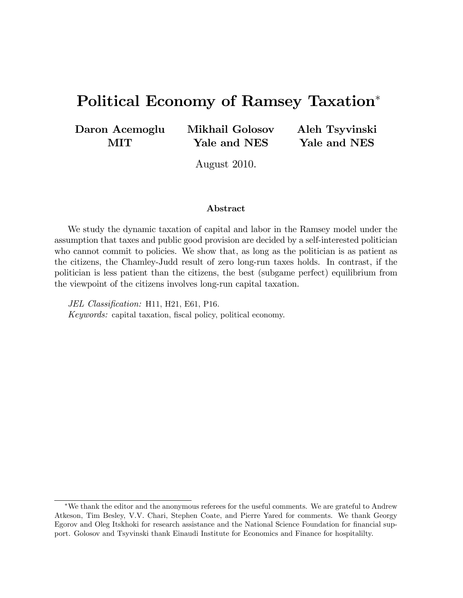# Political Economy of Ramsey Taxation

Daron Acemoglu MIT

Mikhail Golosov Yale and NES

Aleh Tsyvinski Yale and NES

August 2010.

#### Abstract

We study the dynamic taxation of capital and labor in the Ramsey model under the assumption that taxes and public good provision are decided by a self-interested politician who cannot commit to policies. We show that, as long as the politician is as patient as the citizens, the Chamley-Judd result of zero long-run taxes holds. In contrast, if the politician is less patient than the citizens, the best (subgame perfect) equilibrium from the viewpoint of the citizens involves long-run capital taxation.

JEL Classification: H11, H21, E61, P16. Keywords: capital taxation, fiscal policy, political economy.

We thank the editor and the anonymous referees for the useful comments. We are grateful to Andrew Atkeson, Tim Besley, V.V. Chari, Stephen Coate, and Pierre Yared for comments. We thank Georgy Egorov and Oleg Itskhoki for research assistance and the National Science Foundation for financial support. Golosov and Tsyvinski thank Einaudi Institute for Economics and Finance for hospitalilty.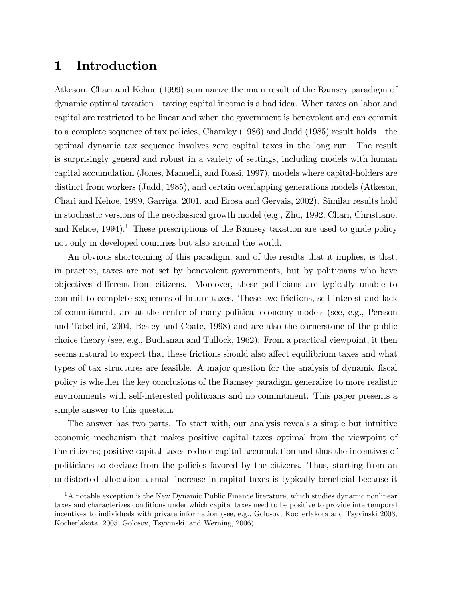## 1 Introduction

Atkeson, Chari and Kehoe (1999) summarize the main result of the Ramsey paradigm of dynamic optimal taxation—taxing capital income is a bad idea. When taxes on labor and capital are restricted to be linear and when the government is benevolent and can commit to a complete sequence of tax policies, Chamley  $(1986)$  and Judd  $(1985)$  result holds—the optimal dynamic tax sequence involves zero capital taxes in the long run. The result is surprisingly general and robust in a variety of settings, including models with human capital accumulation (Jones, Manuelli, and Rossi, 1997), models where capital-holders are distinct from workers (Judd, 1985), and certain overlapping generations models (Atkeson, Chari and Kehoe, 1999, Garriga, 2001, and Erosa and Gervais, 2002). Similar results hold in stochastic versions of the neoclassical growth model (e.g., Zhu, 1992, Chari, Christiano, and Kehoe,  $1994$ <sup>1</sup>. These prescriptions of the Ramsey taxation are used to guide policy not only in developed countries but also around the world.

An obvious shortcoming of this paradigm, and of the results that it implies, is that, in practice, taxes are not set by benevolent governments, but by politicians who have objectives different from citizens. Moreover, these politicians are typically unable to commit to complete sequences of future taxes. These two frictions, self-interest and lack of commitment, are at the center of many political economy models (see, e.g., Persson and Tabellini, 2004, Besley and Coate, 1998) and are also the cornerstone of the public choice theory (see, e.g., Buchanan and Tullock, 1962). From a practical viewpoint, it then seems natural to expect that these frictions should also affect equilibrium taxes and what types of tax structures are feasible. A major question for the analysis of dynamic fiscal policy is whether the key conclusions of the Ramsey paradigm generalize to more realistic environments with self-interested politicians and no commitment. This paper presents a simple answer to this question.

The answer has two parts. To start with, our analysis reveals a simple but intuitive economic mechanism that makes positive capital taxes optimal from the viewpoint of the citizens; positive capital taxes reduce capital accumulation and thus the incentives of politicians to deviate from the policies favored by the citizens. Thus, starting from an undistorted allocation a small increase in capital taxes is typically beneficial because it

<sup>&</sup>lt;sup>1</sup>A notable exception is the New Dynamic Public Finance literature, which studies dynamic nonlinear taxes and characterizes conditions under which capital taxes need to be positive to provide intertemporal incentives to individuals with private information (see, e.g., Golosov, Kocherlakota and Tsyvinski 2003, Kocherlakota, 2005, Golosov, Tsyvinski, and Werning, 2006).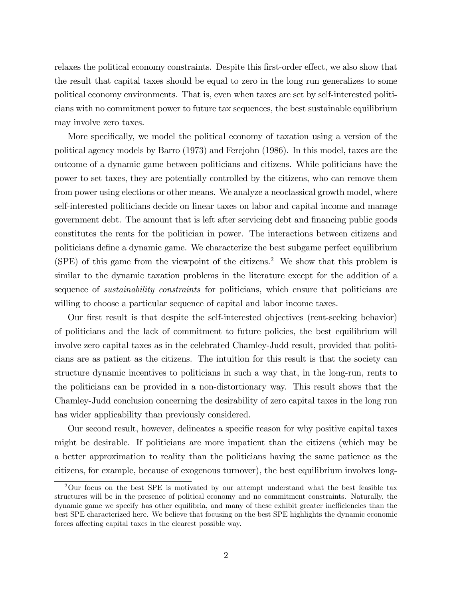relaxes the political economy constraints. Despite this first-order effect, we also show that the result that capital taxes should be equal to zero in the long run generalizes to some political economy environments. That is, even when taxes are set by self-interested politicians with no commitment power to future tax sequences, the best sustainable equilibrium may involve zero taxes.

More specifically, we model the political economy of taxation using a version of the political agency models by Barro (1973) and Ferejohn (1986). In this model, taxes are the outcome of a dynamic game between politicians and citizens. While politicians have the power to set taxes, they are potentially controlled by the citizens, who can remove them from power using elections or other means. We analyze a neoclassical growth model, where self-interested politicians decide on linear taxes on labor and capital income and manage government debt. The amount that is left after servicing debt and financing public goods constitutes the rents for the politician in power. The interactions between citizens and politicians define a dynamic game. We characterize the best subgame perfect equilibrium (SPE) of this game from the viewpoint of the citizens.<sup>2</sup> We show that this problem is similar to the dynamic taxation problems in the literature except for the addition of a sequence of *sustainability constraints* for politicians, which ensure that politicians are willing to choose a particular sequence of capital and labor income taxes.

Our first result is that despite the self-interested objectives (rent-seeking behavior) of politicians and the lack of commitment to future policies, the best equilibrium will involve zero capital taxes as in the celebrated Chamley-Judd result, provided that politicians are as patient as the citizens. The intuition for this result is that the society can structure dynamic incentives to politicians in such a way that, in the long-run, rents to the politicians can be provided in a non-distortionary way. This result shows that the Chamley-Judd conclusion concerning the desirability of zero capital taxes in the long run has wider applicability than previously considered.

Our second result, however, delineates a specific reason for why positive capital taxes might be desirable. If politicians are more impatient than the citizens (which may be a better approximation to reality than the politicians having the same patience as the citizens, for example, because of exogenous turnover), the best equilibrium involves long-

<sup>2</sup>Our focus on the best SPE is motivated by our attempt understand what the best feasible tax structures will be in the presence of political economy and no commitment constraints. Naturally, the dynamic game we specify has other equilibria, and many of these exhibit greater inefficiencies than the best SPE characterized here. We believe that focusing on the best SPE highlights the dynamic economic forces affecting capital taxes in the clearest possible way.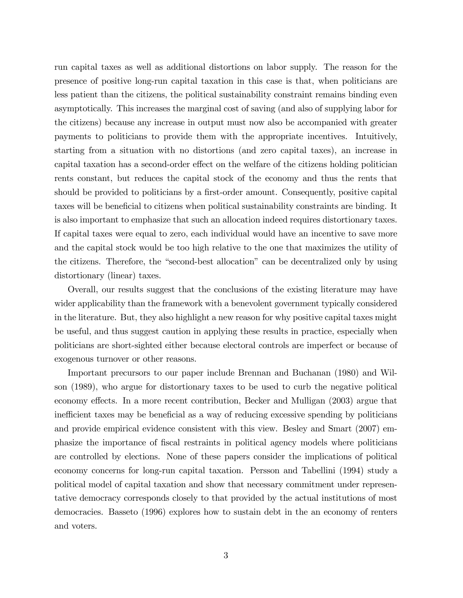run capital taxes as well as additional distortions on labor supply. The reason for the presence of positive long-run capital taxation in this case is that, when politicians are less patient than the citizens, the political sustainability constraint remains binding even asymptotically. This increases the marginal cost of saving (and also of supplying labor for the citizens) because any increase in output must now also be accompanied with greater payments to politicians to provide them with the appropriate incentives. Intuitively, starting from a situation with no distortions (and zero capital taxes), an increase in capital taxation has a second-order effect on the welfare of the citizens holding politician rents constant, but reduces the capital stock of the economy and thus the rents that should be provided to politicians by a first-order amount. Consequently, positive capital taxes will be beneficial to citizens when political sustainability constraints are binding. It is also important to emphasize that such an allocation indeed requires distortionary taxes. If capital taxes were equal to zero, each individual would have an incentive to save more and the capital stock would be too high relative to the one that maximizes the utility of the citizens. Therefore, the "second-best allocation" can be decentralized only by using distortionary (linear) taxes.

Overall, our results suggest that the conclusions of the existing literature may have wider applicability than the framework with a benevolent government typically considered in the literature. But, they also highlight a new reason for why positive capital taxes might be useful, and thus suggest caution in applying these results in practice, especially when politicians are short-sighted either because electoral controls are imperfect or because of exogenous turnover or other reasons.

Important precursors to our paper include Brennan and Buchanan (1980) and Wilson (1989), who argue for distortionary taxes to be used to curb the negative political economy effects. In a more recent contribution, Becker and Mulligan (2003) argue that inefficient taxes may be beneficial as a way of reducing excessive spending by politicians and provide empirical evidence consistent with this view. Besley and Smart (2007) emphasize the importance of Öscal restraints in political agency models where politicians are controlled by elections. None of these papers consider the implications of political economy concerns for long-run capital taxation. Persson and Tabellini (1994) study a political model of capital taxation and show that necessary commitment under representative democracy corresponds closely to that provided by the actual institutions of most democracies. Basseto (1996) explores how to sustain debt in the an economy of renters and voters.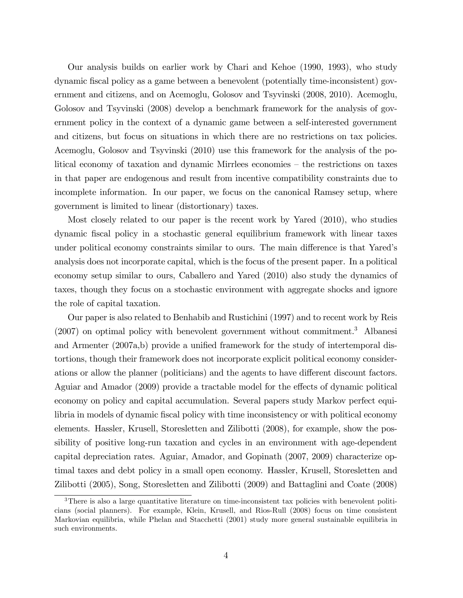Our analysis builds on earlier work by Chari and Kehoe (1990, 1993), who study dynamic Öscal policy as a game between a benevolent (potentially time-inconsistent) government and citizens, and on Acemoglu, Golosov and Tsyvinski (2008, 2010). Acemoglu, Golosov and Tsyvinski (2008) develop a benchmark framework for the analysis of government policy in the context of a dynamic game between a self-interested government and citizens, but focus on situations in which there are no restrictions on tax policies. Acemoglu, Golosov and Tsyvinski (2010) use this framework for the analysis of the political economy of taxation and dynamic Mirrlees economies – the restrictions on taxes in that paper are endogenous and result from incentive compatibility constraints due to incomplete information. In our paper, we focus on the canonical Ramsey setup, where government is limited to linear (distortionary) taxes.

Most closely related to our paper is the recent work by Yared (2010), who studies dynamic Öscal policy in a stochastic general equilibrium framework with linear taxes under political economy constraints similar to ours. The main difference is that Yared's analysis does not incorporate capital, which is the focus of the present paper. In a political economy setup similar to ours, Caballero and Yared (2010) also study the dynamics of taxes, though they focus on a stochastic environment with aggregate shocks and ignore the role of capital taxation.

Our paper is also related to Benhabib and Rustichini (1997) and to recent work by Reis (2007) on optimal policy with benevolent government without commitment.<sup>3</sup> Albanesi and Armenter  $(2007a,b)$  provide a unified framework for the study of intertemporal distortions, though their framework does not incorporate explicit political economy considerations or allow the planner (politicians) and the agents to have different discount factors. Aguiar and Amador  $(2009)$  provide a tractable model for the effects of dynamic political economy on policy and capital accumulation. Several papers study Markov perfect equilibria in models of dynamic fiscal policy with time inconsistency or with political economy elements. Hassler, Krusell, Storesletten and Zilibotti (2008), for example, show the possibility of positive long-run taxation and cycles in an environment with age-dependent capital depreciation rates. Aguiar, Amador, and Gopinath (2007, 2009) characterize optimal taxes and debt policy in a small open economy. Hassler, Krusell, Storesletten and Zilibotti (2005), Song, Storesletten and Zilibotti (2009) and Battaglini and Coate (2008)

<sup>&</sup>lt;sup>3</sup>There is also a large quantitative literature on time-inconsistent tax policies with benevolent politicians (social planners). For example, Klein, Krusell, and Rios-Rull (2008) focus on time consistent Markovian equilibria, while Phelan and Stacchetti (2001) study more general sustainable equilibria in such environments.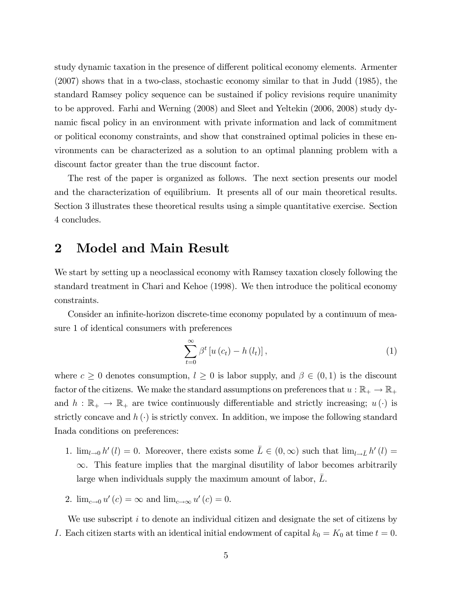study dynamic taxation in the presence of different political economy elements. Armenter (2007) shows that in a two-class, stochastic economy similar to that in Judd (1985), the standard Ramsey policy sequence can be sustained if policy revisions require unanimity to be approved. Farhi and Werning (2008) and Sleet and Yeltekin (2006, 2008) study dynamic fiscal policy in an environment with private information and lack of commitment or political economy constraints, and show that constrained optimal policies in these environments can be characterized as a solution to an optimal planning problem with a discount factor greater than the true discount factor.

The rest of the paper is organized as follows. The next section presents our model and the characterization of equilibrium. It presents all of our main theoretical results. Section 3 illustrates these theoretical results using a simple quantitative exercise. Section 4 concludes.

#### 2 Model and Main Result

We start by setting up a neoclassical economy with Ramsey taxation closely following the standard treatment in Chari and Kehoe (1998). We then introduce the political economy constraints.

Consider an infinite-horizon discrete-time economy populated by a continuum of measure 1 of identical consumers with preferences

$$
\sum_{t=0}^{\infty} \beta^t \left[ u\left(c_t\right) - h\left(l_t\right) \right],\tag{1}
$$

where  $c \geq 0$  denotes consumption,  $l \geq 0$  is labor supply, and  $\beta \in (0,1)$  is the discount factor of the citizens. We make the standard assumptions on preferences that  $u : \mathbb{R}_+ \to \mathbb{R}_+$ and  $h : \mathbb{R}_+ \to \mathbb{R}_+$  are twice continuously differentiable and strictly increasing;  $u(\cdot)$  is strictly concave and  $h(\cdot)$  is strictly convex. In addition, we impose the following standard Inada conditions on preferences:

- 1.  $\lim_{l\to 0} h'(l) = 0$ . Moreover, there exists some  $\overline{L} \in (0, \infty)$  such that  $\lim_{l\to \overline{L}} h'(l) =$  $\infty$ . This feature implies that the marginal disutility of labor becomes arbitrarily large when individuals supply the maximum amount of labor, L.
- 2.  $\lim_{c \to 0} u'(c) = \infty$  and  $\lim_{c \to \infty} u'(c) = 0$ .

We use subscript  $i$  to denote an individual citizen and designate the set of citizens by I. Each citizen starts with an identical initial endowment of capital  $k_0 = K_0$  at time  $t = 0$ .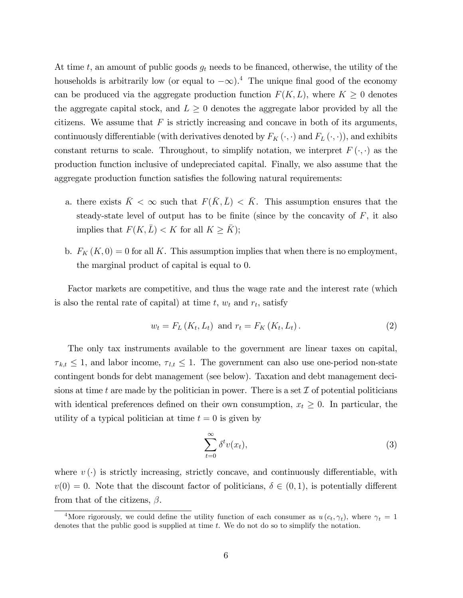At time t, an amount of public goods  $g_t$  needs to be financed, otherwise, the utility of the households is arbitrarily low (or equal to  $-\infty$ ).<sup>4</sup> The unique final good of the economy can be produced via the aggregate production function  $F(K, L)$ , where  $K \geq 0$  denotes the aggregate capital stock, and  $L \geq 0$  denotes the aggregate labor provided by all the citizens. We assume that  $F$  is strictly increasing and concave in both of its arguments, continuously differentiable (with derivatives denoted by  $F_K(\cdot, \cdot)$  and  $F_L(\cdot, \cdot)$ ), and exhibits constant returns to scale. Throughout, to simplify notation, we interpret  $F(\cdot, \cdot)$  as the production function inclusive of undepreciated capital. Finally, we also assume that the aggregate production function satisfies the following natural requirements:

- a. there exists  $\bar{K} < \infty$  such that  $F(\bar{K}, \bar{L}) < \bar{K}$ . This assumption ensures that the steady-state level of output has to be finite (since by the concavity of  $F$ , it also implies that  $F(K,\bar{L}) < K$  for all  $K \geq \bar{K}$ ;
- b.  $F_K(K, 0) = 0$  for all K. This assumption implies that when there is no employment, the marginal product of capital is equal to 0.

Factor markets are competitive, and thus the wage rate and the interest rate (which is also the rental rate of capital) at time  $t, w_t$  and  $r_t$ , satisfy

$$
w_t = F_L(K_t, L_t) \text{ and } r_t = F_K(K_t, L_t).
$$
 (2)

The only tax instruments available to the government are linear taxes on capital,  $\tau_{k,t} \leq 1$ , and labor income,  $\tau_{l,t} \leq 1$ . The government can also use one-period non-state contingent bonds for debt management (see below). Taxation and debt management decisions at time t are made by the politician in power. There is a set  $\mathcal I$  of potential politicians with identical preferences defined on their own consumption,  $x_t \geq 0$ . In particular, the utility of a typical politician at time  $t = 0$  is given by

$$
\sum_{t=0}^{\infty} \delta^t v(x_t),\tag{3}
$$

where  $v(\cdot)$  is strictly increasing, strictly concave, and continuously differentiable, with  $v(0) = 0$ . Note that the discount factor of politicians,  $\delta \in (0, 1)$ , is potentially different from that of the citizens,  $\beta$ .

<sup>&</sup>lt;sup>4</sup>More rigorously, we could define the utility function of each consumer as  $u(c_t, \gamma_t)$ , where  $\gamma_t = 1$ denotes that the public good is supplied at time t. We do not do so to simplify the notation.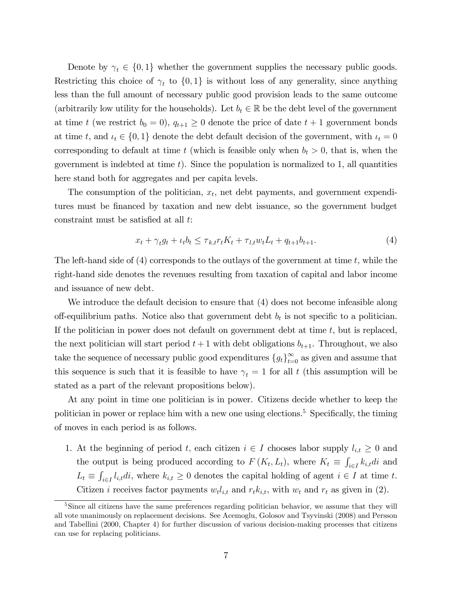Denote by  $\gamma_t \in \{0,1\}$  whether the government supplies the necessary public goods. Restricting this choice of  $\gamma_t$  to  $\{0,1\}$  is without loss of any generality, since anything less than the full amount of necessary public good provision leads to the same outcome (arbitrarily low utility for the households). Let  $b_t \in \mathbb{R}$  be the debt level of the government at time t (we restrict  $b_0 = 0$ ),  $q_{t+1} \geq 0$  denote the price of date  $t + 1$  government bonds at time t, and  $\iota_t \in \{0,1\}$  denote the debt default decision of the government, with  $\iota_t = 0$ corresponding to default at time t (which is feasible only when  $b_t > 0$ , that is, when the government is indebted at time  $t$ ). Since the population is normalized to 1, all quantities here stand both for aggregates and per capita levels.

The consumption of the politician,  $x_t$ , net debt payments, and government expenditures must be Önanced by taxation and new debt issuance, so the government budget constraint must be satisfied at all  $t$ .

$$
x_t + \gamma_t g_t + \iota_t b_t \leq \tau_{k,t} r_t K_t + \tau_{l,t} w_t L_t + q_{t+1} b_{t+1}.
$$
\n
$$
\tag{4}
$$

The left-hand side of  $(4)$  corresponds to the outlays of the government at time t, while the right-hand side denotes the revenues resulting from taxation of capital and labor income and issuance of new debt.

We introduce the default decision to ensure that (4) does not become infeasible along off-equilibrium paths. Notice also that government debt  $b_t$  is not specific to a politician. If the politician in power does not default on government debt at time  $t$ , but is replaced, the next politician will start period  $t + 1$  with debt obligations  $b_{t+1}$ . Throughout, we also take the sequence of necessary public good expenditures  ${g_t}_{t=0}^{\infty}$  as given and assume that this sequence is such that it is feasible to have  $\gamma_t = 1$  for all t (this assumption will be stated as a part of the relevant propositions below).

At any point in time one politician is in power. Citizens decide whether to keep the politician in power or replace him with a new one using elections.<sup>5</sup> Specifically, the timing of moves in each period is as follows.

1. At the beginning of period t, each citizen  $i \in I$  chooses labor supply  $l_{i,t} \geq 0$  and the output is being produced according to  $F(K_t, L_t)$ , where  $K_t \equiv \int$  $\sum_{i\in I} k_{i,t} di$  and  $L_t \equiv \int$  $\sum_{i\in I} l_{i,t} di$ , where  $k_{i,t} \geq 0$  denotes the capital holding of agent  $i \in I$  at time t. Citizen *i* receives factor payments  $w_t l_{i,t}$  and  $r_t k_{i,t}$ , with  $w_t$  and  $r_t$  as given in (2).

<sup>&</sup>lt;sup>5</sup>Since all citizens have the same preferences regarding politician behavior, we assume that they will all vote unanimously on replacement decisions. See Acemoglu, Golosov and Tsyvinski (2008) and Persson and Tabellini (2000, Chapter 4) for further discussion of various decision-making processes that citizens can use for replacing politicians.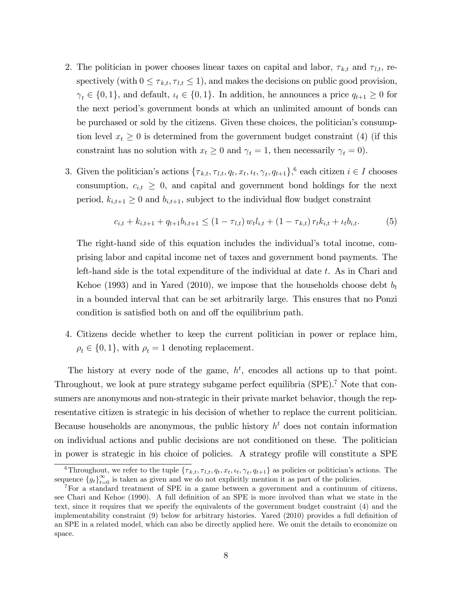- 2. The politician in power chooses linear taxes on capital and labor,  $\tau_{k,t}$  and  $\tau_{l,t}$ , respectively (with  $0 \leq \tau_{k,t}, \tau_{l,t} \leq 1$ ), and makes the decisions on public good provision,  $\gamma_t \in \{0, 1\}$ , and default,  $\iota_t \in \{0, 1\}$ . In addition, he announces a price  $q_{t+1} \geq 0$  for the next periodís government bonds at which an unlimited amount of bonds can be purchased or sold by the citizens. Given these choices, the politician's consumption level  $x_t \geq 0$  is determined from the government budget constraint (4) (if this constraint has no solution with  $x_t \geq 0$  and  $\gamma_t = 1$ , then necessarily  $\gamma_t = 0$ .
- 3. Given the politician's actions  $\{\tau_{k,t}, \tau_{l,t}, q_t, x_t, \iota_t, \gamma_t, q_{t+1}\}\text{,}^6$  each citizen  $i \in I$  chooses consumption,  $c_{i,t} \geq 0$ , and capital and government bond holdings for the next period,  $k_{i,t+1} \geq 0$  and  $b_{i,t+1}$ , subject to the individual flow budget constraint

$$
c_{i,t} + k_{i,t+1} + q_{t+1}b_{i,t+1} \le (1 - \tau_{l,t}) w_t l_{i,t} + (1 - \tau_{k,t}) r_t k_{i,t} + \iota_t b_{i,t}.
$$
 (5)

The right-hand side of this equation includes the individual's total income, comprising labor and capital income net of taxes and government bond payments. The left-hand side is the total expenditure of the individual at date t. As in Chari and Kehoe (1993) and in Yared (2010), we impose that the households choose debt  $b_t$ in a bounded interval that can be set arbitrarily large. This ensures that no Ponzi condition is satisfied both on and off the equilibrium path.

4. Citizens decide whether to keep the current politician in power or replace him,  $\rho_t \in \{0, 1\}$ , with  $\rho_t = 1$  denoting replacement.

The history at every node of the game,  $h^t$ , encodes all actions up to that point. Throughout, we look at pure strategy subgame perfect equilibria (SPE).<sup>7</sup> Note that consumers are anonymous and non-strategic in their private market behavior, though the representative citizen is strategic in his decision of whether to replace the current politician. Because households are anonymous, the public history  $h<sup>t</sup>$  does not contain information on individual actions and public decisions are not conditioned on these. The politician in power is strategic in his choice of policies. A strategy profile will constitute a SPE

<sup>&</sup>lt;sup>6</sup>Throughout, we refer to the tuple  $\{\tau_{k,t}, \tau_{l,t}, q_t, x_t, \iota_t, \gamma_t, q_{t+1}\}$  as policies or politician's actions. The sequence  ${g_t}_{t=0}^{\infty}$  is taken as given and we do not explicitly mention it as part of the policies.

<sup>7</sup>For a standard treatment of SPE in a game between a government and a continuum of citizens, see Chari and Kehoe (1990). A full definition of an SPE is more involved than what we state in the text, since it requires that we specify the equivalents of the government budget constraint (4) and the implementability constraint  $(9)$  below for arbitrary histories. Yared  $(2010)$  provides a full definition of an SPE in a related model, which can also be directly applied here. We omit the details to economize on space.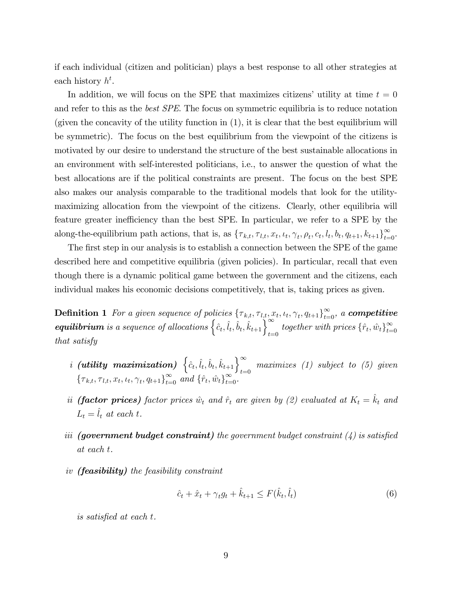if each individual (citizen and politician) plays a best response to all other strategies at each history  $h^t$ .

In addition, we will focus on the SPE that maximizes citizens' utility at time  $t = 0$ and refer to this as the best SPE. The focus on symmetric equilibria is to reduce notation (given the concavity of the utility function in (1), it is clear that the best equilibrium will be symmetric). The focus on the best equilibrium from the viewpoint of the citizens is motivated by our desire to understand the structure of the best sustainable allocations in an environment with self-interested politicians, i.e., to answer the question of what the best allocations are if the political constraints are present. The focus on the best SPE also makes our analysis comparable to the traditional models that look for the utilitymaximizing allocation from the viewpoint of the citizens. Clearly, other equilibria will feature greater inefficiency than the best SPE. In particular, we refer to a SPE by the along-the-equilibrium path actions, that is, as  $\{\tau_{k,t}, \tau_{l,t}, x_t, \iota_t, \gamma_t, \rho_t, c_t, l_t, b_t, q_{t+1}, k_{t+1}\}_{t=0}^{\infty}$ .

The first step in our analysis is to establish a connection between the SPE of the game described here and competitive equilibria (given policies). In particular, recall that even though there is a dynamic political game between the government and the citizens, each individual makes his economic decisions competitively, that is, taking prices as given.

**Definition 1** For a given sequence of policies  $\{\tau_{k,t}, \tau_{l,t}, x_t, \iota_t, \gamma_t, q_{t+1}\}_{t=0}^{\infty}$ , a **competitive equilibrium** is a sequence of allocations  $\left\{\hat{c}_t, \hat{l}_t, \hat{b}_t, \hat{k}_{t+1}\right\}_{t=0}^{\infty}$  together with prices  $\{\hat{r}_t, \hat{w}_t\}_{t=0}^{\infty}$ that satisfy

- i (utility maximization)  $\left\{\hat{c}_t, \hat{l}_t, \hat{b}_t, \hat{k}_{t+1}\right\}_{t=0}^{\infty}$  maximizes (1) subject to (5) given  $\{\tau_{k,t}, \tau_{l,t}, x_t, \iota_t, \gamma_t, q_{t+1}\}_{t=0}^{\infty}$  and  $\{\hat{r}_t, \hat{w}_t\}_{t=0}^{\infty}$ .
- ii (factor prices) factor prices  $\hat{w}_t$  and  $\hat{r}_t$  are given by (2) evaluated at  $K_t = \hat{k}_t$  and  $L_t = \hat{l}_t$  at each t.
- iii (government budget constraint) the government budget constraint  $(4)$  is satisfied at each t.
- iv (feasibility) the feasibility constraint

$$
\hat{c}_t + \hat{x}_t + \gamma_t g_t + \hat{k}_{t+1} \le F(\hat{k}_t, \hat{l}_t)
$$
\n
$$
\tag{6}
$$

is satisfied at each t.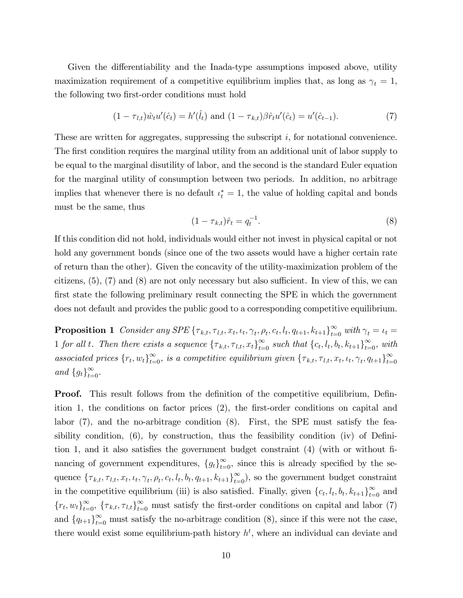Given the differentiability and the Inada-type assumptions imposed above, utility maximization requirement of a competitive equilibrium implies that, as long as  $\gamma_t = 1$ , the following two first-order conditions must hold

$$
(1 - \tau_{l,t})\hat{w}_t u'(\hat{c}_t) = h'(\hat{l}_t) \text{ and } (1 - \tau_{k,t})\beta \hat{r}_t u'(\hat{c}_t) = u'(\hat{c}_{t-1}).
$$
\n(7)

These are written for aggregates, suppressing the subscript  $i$ , for notational convenience. The first condition requires the marginal utility from an additional unit of labor supply to be equal to the marginal disutility of labor, and the second is the standard Euler equation for the marginal utility of consumption between two periods. In addition, no arbitrage implies that whenever there is no default  $\iota_t^* = 1$ , the value of holding capital and bonds must be the same, thus

$$
(1 - \tau_{k,t})\hat{r}_t = q_t^{-1}.\tag{8}
$$

If this condition did not hold, individuals would either not invest in physical capital or not hold any government bonds (since one of the two assets would have a higher certain rate of return than the other). Given the concavity of the utility-maximization problem of the citizens,  $(5)$ ,  $(7)$  and  $(8)$  are not only necessary but also sufficient. In view of this, we can first state the following preliminary result connecting the SPE in which the government does not default and provides the public good to a corresponding competitive equilibrium.

**Proposition 1** Consider any SPE  $\{\tau_{k,t}, \tau_{l,t}, x_t, \iota_t, \gamma_t, \rho_t, c_t, l_t, q_{t+1}, k_{t+1}\}_{t=0}^{\infty}$  with  $\gamma_t = \iota_t =$ 1 for all t. Then there exists a sequence  $\{\tau_{k,t}, \tau_{l,t}, x_t\}_{t=0}^{\infty}$  such that  $\{c_t, l_t, b_t, k_{t+1}\}_{t=0}^{\infty}$ , with associated prices  $\{r_t, w_t\}_{t=0}^{\infty}$ , is a competitive equilibrium given  $\{\tau_{k,t}, \tau_{l,t}, x_t, \iota_t, \gamma_t, q_{t+1}\}_{t=0}^{\infty}$ and  $\{g_t\}_{t=0}^{\infty}$ .

**Proof.** This result follows from the definition of the competitive equilibrium, Definition 1, the conditions on factor prices  $(2)$ , the first-order conditions on capital and labor  $(7)$ , and the no-arbitrage condition  $(8)$ . First, the SPE must satisfy the feasibility condition,  $(6)$ , by construction, thus the feasibility condition  $(iv)$  of Definition 1, and it also satisfies the government budget constraint  $(4)$  (with or without financing of government expenditures,  $\{g_t\}_{t=0}^{\infty}$ , since this is already specified by the sequence  $\{\tau_{k,t}, \tau_{l,t}, x_t, \iota_t, \gamma_t, \rho_t, c_t, l_t, b_t, q_{t+1}, k_{t+1}\}_{t=0}^{\infty}$ , so the government budget constraint in the competitive equilibrium (iii) is also satisfied. Finally, given  $\{c_t, l_t, b_t, k_{t+1}\}_{t=0}^{\infty}$  and  ${r_t, w_t}_{t=0}^{\infty}$ ,  ${\tau_{k,t}, \tau_{l,t}}_{t=0}^{\infty}$  must satisfy the first-order conditions on capital and labor (7) and  ${q_{t+1}}_{t=0}^{\infty}$  must satisfy the no-arbitrage condition (8), since if this were not the case, there would exist some equilibrium-path history  $h<sup>t</sup>$ , where an individual can deviate and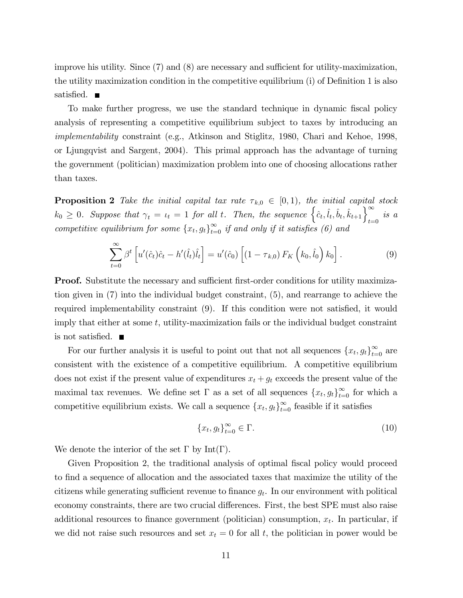improve his utility. Since  $(7)$  and  $(8)$  are necessary and sufficient for utility-maximization, the utility maximization condition in the competitive equilibrium  $(i)$  of Definition 1 is also satisfied.  $\blacksquare$ 

To make further progress, we use the standard technique in dynamic fiscal policy analysis of representing a competitive equilibrium subject to taxes by introducing an implementability constraint (e.g., Atkinson and Stiglitz, 1980, Chari and Kehoe, 1998, or Ljungqvist and Sargent, 2004). This primal approach has the advantage of turning the government (politician) maximization problem into one of choosing allocations rather than taxes.

**Proposition 2** Take the initial capital tax rate  $\tau_{k,0} \in [0,1)$ , the initial capital stock  $k_0 \geq 0$ . Suppose that  $\gamma_t = \iota_t = 1$  for all t. Then, the sequence  $\left\{\hat{c}_t, \hat{l}_t, \hat{b}_t, \hat{k}_{t+1}\right\}_{t=0}^{\infty}$  is a competitive equilibrium for some  $\{x_t, g_t\}_{t=0}^{\infty}$  if and only if it satisfies (6) and

$$
\sum_{t=0}^{\infty} \beta^t \left[ u'(\hat{c}_t)\hat{c}_t - h'(\hat{l}_t)\hat{l}_t \right] = u'(\hat{c}_0) \left[ (1 - \tau_{k,0}) F_K\left(k_0, \hat{l}_0\right) k_0 \right]. \tag{9}
$$

**Proof.** Substitute the necessary and sufficient first-order conditions for utility maximization given in (7) into the individual budget constraint, (5), and rearrange to achieve the required implementability constraint  $(9)$ . If this condition were not satisfied, it would imply that either at some  $t$ , utility-maximization fails or the individual budget constraint is not satisfied.  $\blacksquare$ 

For our further analysis it is useful to point out that not all sequences  $\{x_t, g_t\}_{t=0}^{\infty}$  are consistent with the existence of a competitive equilibrium. A competitive equilibrium does not exist if the present value of expenditures  $x_t + g_t$  exceeds the present value of the maximal tax revenues. We define set  $\Gamma$  as a set of all sequences  $\{x_t, g_t\}_{t=0}^{\infty}$  for which a competitive equilibrium exists. We call a sequence  $\{x_t, g_t\}_{t=0}^{\infty}$  feasible if it satisfies

$$
\{x_t, g_t\}_{t=0}^{\infty} \in \Gamma.
$$
\n<sup>(10)</sup>

We denote the interior of the set  $\Gamma$  by Int( $\Gamma$ ).

Given Proposition 2, the traditional analysis of optimal fiscal policy would proceed to Önd a sequence of allocation and the associated taxes that maximize the utility of the citizens while generating sufficient revenue to finance  $g_t$ . In our environment with political economy constraints, there are two crucial differences. First, the best SPE must also raise additional resources to finance government (politician) consumption,  $x_t$ . In particular, if we did not raise such resources and set  $x_t = 0$  for all t, the politician in power would be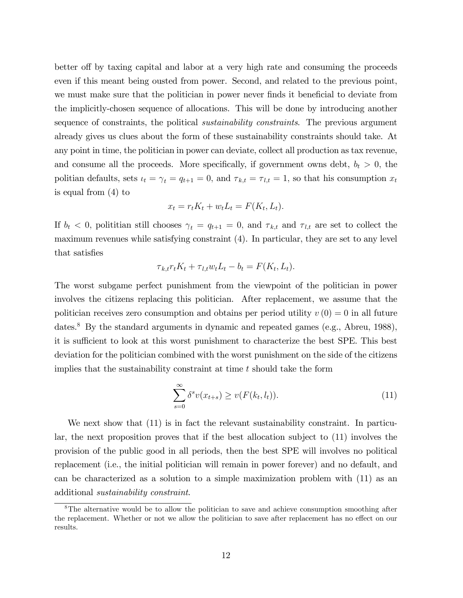better of by taxing capital and labor at a very high rate and consuming the proceeds even if this meant being ousted from power. Second, and related to the previous point, we must make sure that the politician in power never finds it beneficial to deviate from the implicitly-chosen sequence of allocations. This will be done by introducing another sequence of constraints, the political *sustainability constraints*. The previous argument already gives us clues about the form of these sustainability constraints should take. At any point in time, the politician in power can deviate, collect all production as tax revenue, and consume all the proceeds. More specifically, if government owns debt,  $b_t > 0$ , the politian defaults, sets  $u_t = \gamma_t = q_{t+1} = 0$ , and  $\tau_{k,t} = \tau_{l,t} = 1$ , so that his consumption  $x_t$ is equal from (4) to

$$
x_t = r_t K_t + w_t L_t = F(K_t, L_t).
$$

If  $b_t < 0$ , polititian still chooses  $\gamma_t = q_{t+1} = 0$ , and  $\tau_{k,t}$  and  $\tau_{l,t}$  are set to collect the maximum revenues while satisfying constraint (4). In particular, they are set to any level that satisfies

$$
\tau_{k,t}r_tK_t + \tau_{l,t}w_tL_t - b_t = F(K_t, L_t).
$$

The worst subgame perfect punishment from the viewpoint of the politician in power involves the citizens replacing this politician. After replacement, we assume that the politician receives zero consumption and obtains per period utility  $v(0) = 0$  in all future dates.<sup>8</sup> By the standard arguments in dynamic and repeated games (e.g., Abreu, 1988), it is sufficient to look at this worst punishment to characterize the best SPE. This best deviation for the politician combined with the worst punishment on the side of the citizens implies that the sustainability constraint at time  $t$  should take the form

$$
\sum_{s=0}^{\infty} \delta^s v(x_{t+s}) \ge v(F(k_t, l_t)).
$$
\n(11)

We next show that  $(11)$  is in fact the relevant sustainability constraint. In particular, the next proposition proves that if the best allocation subject to (11) involves the provision of the public good in all periods, then the best SPE will involves no political replacement (i.e., the initial politician will remain in power forever) and no default, and can be characterized as a solution to a simple maximization problem with (11) as an additional sustainability constraint.

<sup>&</sup>lt;sup>8</sup>The alternative would be to allow the politician to save and achieve consumption smoothing after the replacement. Whether or not we allow the politician to save after replacement has no effect on our results.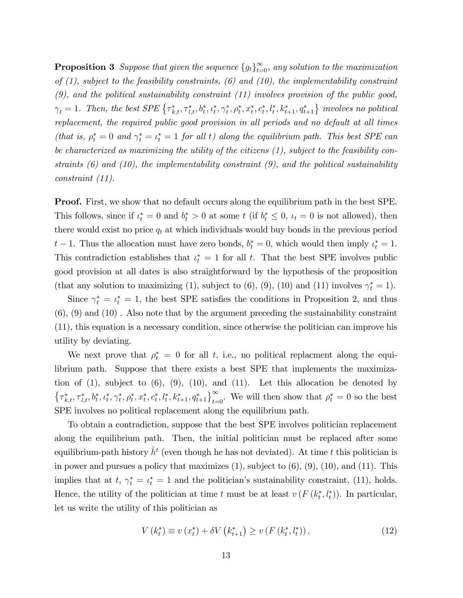**Proposition 3** Suppose that given the sequence  ${g_t}_{t=0}^{\infty}$ , any solution to the maximization of  $(1)$ , subject to the feasibility constraints,  $(6)$  and  $(10)$ , the implementability constraint  $(9)$ , and the political sustainability constraint  $(11)$  involves provision of the public good,  $\gamma_t = 1$ . Then, the best SPE  $\{\tau_{k,t}^*, \tau_{l,t}^*, b_t^*, \iota_t^*, \gamma_t^*, \rho_t^*, x_t^*, c_t^*, l_t^*, k_{t+1}^*, q_{t+1}^*\}$  involves no political replacement, the required public good provision in all periods and no default at all times (that is,  $\rho_t^* = 0$  and  $\gamma_t^* = \iota_t^* = 1$  for all t) along the equilibrium path. This best SPE can be characterized as maximizing the utility of the citizens (1), subject to the feasibility constraints  $(6)$  and  $(10)$ , the implementability constraint  $(9)$ , and the political sustainability constraint (11).

**Proof.** First, we show that no default occurs along the equilibrium path in the best SPE. This follows, since if  $\iota_t^* = 0$  and  $b_t^* > 0$  at some t (if  $b_t^* \leq 0$ ,  $\iota_t = 0$  is not allowed), then there would exist no price  $q_t$  at which individuals would buy bonds in the previous period  $t-1$ . Thus the allocation must have zero bonds,  $b_t^* = 0$ , which would then imply  $\iota_t^* = 1$ . This contradiction establishes that  $\iota_t^* = 1$  for all t. That the best SPE involves public good provision at all dates is also straightforward by the hypothesis of the proposition (that any solution to maximizing (1), subject to (6), (9), (10) and (11) involves  $\gamma_t^* = 1$ ).

Since  $\gamma_t^* = \iota_t^* = 1$ , the best SPE satisfies the conditions in Proposition 2, and thus (6), (9) and (10) . Also note that by the argument preceding the sustainability constraint (11), this equation is a necessary condition, since otherwise the politician can improve his utility by deviating.

We next prove that  $\rho_t^* = 0$  for all t, i.e., no political replacemnt along the equilibrium path. Suppose that there exists a best SPE that implements the maximization of  $(1)$ , subject to  $(6)$ ,  $(9)$ ,  $(10)$ , and  $(11)$ . Let this allocation be denoted by  $\{\tau_{k,t}^*, \tau_{l,t}^*, b_t^*, \iota_t^*, \gamma_t^*, \rho_t^*, x_t^*, c_t^*, l_t^*, k_{t+1}^*, q_{t+1}^*\}_{t=0}^{\infty}$ . We will then show that  $\rho_t^* = 0$  so the best SPE involves no political replacement along the equilibrium path.

To obtain a contradiction, suppose that the best SPE involves politician replacement along the equilibrium path. Then, the initial politician must be replaced after some equilibrium-path history  $\hat{h}^t$  (even though he has not deviated). At time t this politician is in power and pursues a policy that maximizes  $(1)$ , subject to  $(6)$ ,  $(9)$ ,  $(10)$ , and  $(11)$ . This implies that at  $t, \gamma_t^* = \iota_t^* = 1$  and the politician's sustainability constraint, (11), holds. Hence, the utility of the politician at time t must be at least  $v(F(k_t^*, l_t^*))$ . In particular, let us write the utility of this politician as

$$
V(k_{t}^{*}) \equiv v(x_{t}^{*}) + \delta V(k_{t+1}^{*}) \ge v(F(k_{t}^{*}, l_{t}^{*})), \qquad (12)
$$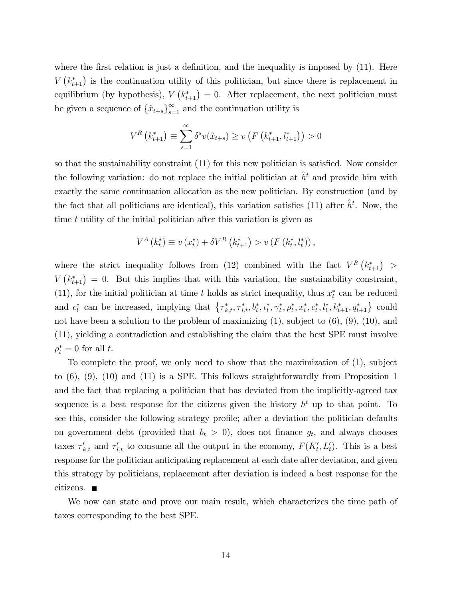where the first relation is just a definition, and the inequality is imposed by  $(11)$ . Here  $V(k_{t+1}^*)$  is the continuation utility of this politician, but since there is replacement in equilibrium (by hypothesis),  $V(k_{t+1}^*) = 0$ . After replacement, the next politician must be given a sequence of  $\{\hat{x}_{t+s}\}_{s=1}^{\infty}$  and the continuation utility is

$$
V^{R}\left(k_{t+1}^{*}\right) \equiv \sum_{s=1}^{\infty} \delta^{s} v(\hat{x}_{t+s}) \ge v\left(F\left(k_{t+1}^{*}, l_{t+1}^{*}\right)\right) > 0
$$

so that the sustainability constraint  $(11)$  for this new politician is satisfied. Now consider the following variation: do not replace the initial politician at  $\hat{h}^t$  and provide him with exactly the same continuation allocation as the new politician. By construction (and by the fact that all politicians are identical), this variation satisfies (11) after  $\hat{h}^t$ . Now, the time t utility of the initial politician after this variation is given as

$$
V^{A}(k_{t}^{*}) \equiv v(x_{t}^{*}) + \delta V^{R}(k_{t+1}^{*}) > v(F(k_{t}^{*}, l_{t}^{*})),
$$

where the strict inequality follows from (12) combined with the fact  $V^R (k_{t+1}^*)$  $V(k_{t+1}^*) = 0$ . But this implies that with this variation, the sustainability constraint, (11), for the initial politician at time t holds as strict inequality, thus  $x_t^*$  can be reduced and  $c_t^*$  can be increased, implying that  $\{\tau_{k,t}^*, \tau_{l,t}^*, b_t^*, c_t^*, \gamma_t^*, \rho_t^*, x_t^*, c_t^*, l_t^*, k_{t+1}^*, q_{t+1}^*\}$  could not have been a solution to the problem of maximizing  $(1)$ , subject to  $(6)$ ,  $(9)$ ,  $(10)$ , and (11), yielding a contradiction and establishing the claim that the best SPE must involve  $\rho_t^* = 0$  for all t.

To complete the proof, we only need to show that the maximization of (1), subject to (6), (9), (10) and (11) is a SPE. This follows straightforwardly from Proposition 1 and the fact that replacing a politician that has deviated from the implicitly-agreed tax sequence is a best response for the citizens given the history  $h^t$  up to that point. To see this, consider the following strategy profile; after a deviation the politician defaults on government debt (provided that  $b_t > 0$ ), does not finance  $g_t$ , and always chooses taxes  $\tau'_{k,t}$  and  $\tau'_{l,t}$  to consume all the output in the economy,  $F(K'_{t}, L'_{t})$ . This is a best response for the politician anticipating replacement at each date after deviation, and given this strategy by politicians, replacement after deviation is indeed a best response for the citizens.

We now can state and prove our main result, which characterizes the time path of taxes corresponding to the best SPE.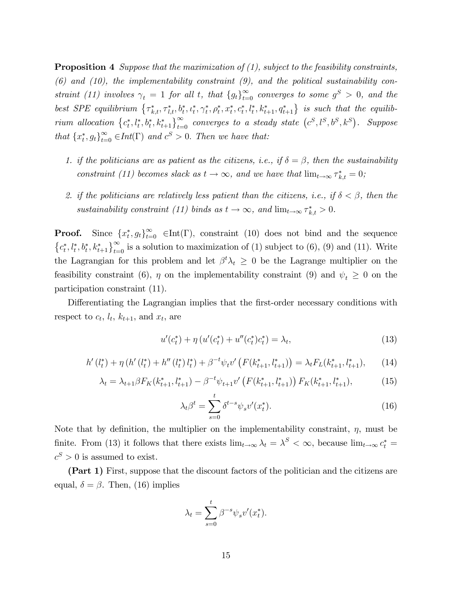**Proposition 4** Suppose that the maximization of  $(1)$ , subject to the feasibility constraints,  $(6)$  and  $(10)$ , the implementability constraint  $(9)$ , and the political sustainability constraint (11) involves  $\gamma_t = 1$  for all t, that  $\{g_t\}_{t=0}^{\infty}$  converges to some  $g^S > 0$ , and the best SPE equilibrium  $\{\tau_{k,t}^*, \tau_{l,t}^*, b_t^*, t_t^*, \gamma_t^*, \rho_t^*, x_t^*, c_t^*, l_t^*, k_{t+1}^*, q_{t+1}^*\}$  is such that the equilibrium allocation  $\{c_t^*, l_t^*, b_t^*, k_{t+1}^*\}_{t=0}^\infty$  converges to a steady state  $(c^S, l^S, b^S, k^S)$ . Suppose that  $\{x_t^*, g_t\}_{t=0}^{\infty} \in Int(\Gamma)$  and  $c^S > 0$ . Then we have that:

- 1. if the politicians are as patient as the citizens, i.e., if  $\delta = \beta$ , then the sustainability constraint (11) becomes slack as  $t \to \infty$ , and we have that  $\lim_{t \to \infty} \tau_{k,t}^* = 0$ ;
- 2. if the politicians are relatively less patient than the citizens, i.e., if  $\delta < \beta$ , then the sustainability constraint (11) binds as  $t \to \infty$ , and  $\lim_{t \to \infty} \tau_{k,t}^* > 0$ .

**Proof.** Since  $\{x_t^*, g_t\}_{t=0}^{\infty} \in \text{Int}(\Gamma)$ , constraint (10) does not bind and the sequence  $\{c_t^*, l_t^*, b_t^*, k_{t+1}^*\}_{t=0}^{\infty}$  is a solution to maximization of (1) subject to (6), (9) and (11). Write the Lagrangian for this problem and let  $\beta^t \lambda_t \geq 0$  be the Lagrange multiplier on the feasibility constraint (6),  $\eta$  on the implementability constraint (9) and  $\psi_t \geq 0$  on the participation constraint (11).

Differentiating the Lagrangian implies that the first-order necessary conditions with respect to  $c_t$ ,  $l_t$ ,  $k_{t+1}$ , and  $x_t$ , are

$$
u'(c_t^*) + \eta \left( u'(c_t^*) + u''(c_t^*)c_t^* \right) = \lambda_t,\tag{13}
$$

$$
h'(l_t^*) + \eta (h'(l_t^*) + h''(l_t^*) l_t^*) + \beta^{-t} \psi_t v'(F(k_{t+1}^*, l_{t+1}^*)) = \lambda_t F_L(k_{t+1}^*, l_{t+1}^*), \qquad (14)
$$

$$
\lambda_t = \lambda_{t+1} \beta F_K(k_{t+1}^*, l_{t+1}^*) - \beta^{-t} \psi_{t+1} v' \left( F(k_{t+1}^*, l_{t+1}^*) \right) F_K(k_{t+1}^*, l_{t+1}^*), \tag{15}
$$

$$
\lambda_t \beta^t = \sum_{s=0}^{\iota} \delta^{t-s} \psi_s v'(x_t^*). \tag{16}
$$

Note that by definition, the multiplier on the implementability constraint,  $\eta$ , must be finite. From (13) it follows that there exists  $\lim_{t\to\infty} \lambda_t = \lambda^S < \infty$ , because  $\lim_{t\to\infty} c_t^* =$  $c^S > 0$  is assumed to exist.

(Part 1) First, suppose that the discount factors of the politician and the citizens are equal,  $\delta = \beta$ . Then, (16) implies

$$
\lambda_t = \sum_{s=0}^t \beta^{-s} \psi_s v'(x_t^*).
$$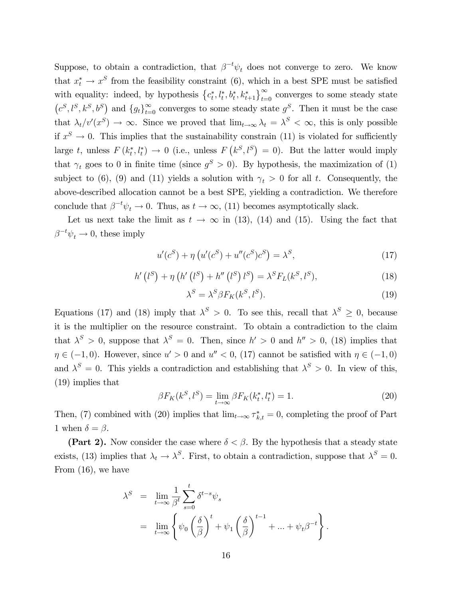Suppose, to obtain a contradiction, that  $\beta^{-t}\psi_t$  does not converge to zero. We know that  $x_t^* \to x^S$  from the feasibility constraint (6), which in a best SPE must be satisfied with equality: indeed, by hypothesis  $\{c_t^*, l_t^*, b_t^*, k_{t+1}^*\}_{t=0}^\infty$  converges to some steady state  $(c^S, l^S, k^S, b^S)$  and  $\{g_t\}_{t=0}^{\infty}$  converges to some steady state  $g^S$ . Then it must be the case that  $\lambda_t/v'(x^S) \to \infty$ . Since we proved that  $\lim_{t \to \infty} \lambda_t = \lambda^S < \infty$ , this is only possible if  $x^S \to 0$ . This implies that the sustainability constrain (11) is violated for sufficiently large t, unless  $F(k_t^*, l_t^*) \to 0$  (i.e., unless  $F(k^S, l^S) = 0$ ). But the latter would imply that  $\gamma_t$  goes to 0 in finite time (since  $g^S > 0$ ). By hypothesis, the maximization of (1) subject to (6), (9) and (11) yields a solution with  $\gamma_t > 0$  for all t. Consequently, the above-described allocation cannot be a best SPE, yielding a contradiction. We therefore conclude that  $\beta^{-t}\psi_t \to 0$ . Thus, as  $t \to \infty$ , (11) becomes asymptotically slack.

Let us next take the limit as  $t \to \infty$  in (13), (14) and (15). Using the fact that  $\beta^{-t}\psi_t \to 0$ , these imply

$$
u'(c^{S}) + \eta \left( u'(c^{S}) + u''(c^{S})c^{S} \right) = \lambda^{S}, \tag{17}
$$

$$
h'\left(l^{S}\right) + \eta\left(h'\left(l^{S}\right) + h''\left(l^{S}\right)l^{S}\right) = \lambda^{S}F_{L}(k^{S}, l^{S}),\tag{18}
$$

$$
\lambda^S = \lambda^S \beta F_K(k^S, l^S). \tag{19}
$$

Equations (17) and (18) imply that  $\lambda^S > 0$ . To see this, recall that  $\lambda^S \geq 0$ , because it is the multiplier on the resource constraint. To obtain a contradiction to the claim that  $\lambda^S > 0$ , suppose that  $\lambda^S = 0$ . Then, since  $h' > 0$  and  $h'' > 0$ , (18) implies that  $\eta \in (-1,0)$ . However, since  $u' > 0$  and  $u'' < 0$ , (17) cannot be satisfied with  $\eta \in (-1,0)$ and  $\lambda^S = 0$ . This yields a contradiction and establishing that  $\lambda^S > 0$ . In view of this, (19) implies that

$$
\beta F_K(k^S, l^S) = \lim_{t \to \infty} \beta F_K(k^*_t, l^*_t) = 1.
$$
\n(20)

Then, (7) combined with (20) implies that  $\lim_{t\to\infty} \tau_{k,t}^* = 0$ , completing the proof of Part 1 when  $\delta = \beta$ .

(Part 2). Now consider the case where  $\delta < \beta$ . By the hypothesis that a steady state exists, (13) implies that  $\lambda_t \to \lambda^S$ . First, to obtain a contradiction, suppose that  $\lambda^S = 0$ . From (16), we have

$$
\lambda^{S} = \lim_{t \to \infty} \frac{1}{\beta^{t}} \sum_{s=0}^{t} \delta^{t-s} \psi_{s}
$$
  
= 
$$
\lim_{t \to \infty} \left\{ \psi_{0} \left( \frac{\delta}{\beta} \right)^{t} + \psi_{1} \left( \frac{\delta}{\beta} \right)^{t-1} + \dots + \psi_{t} \beta^{-t} \right\}.
$$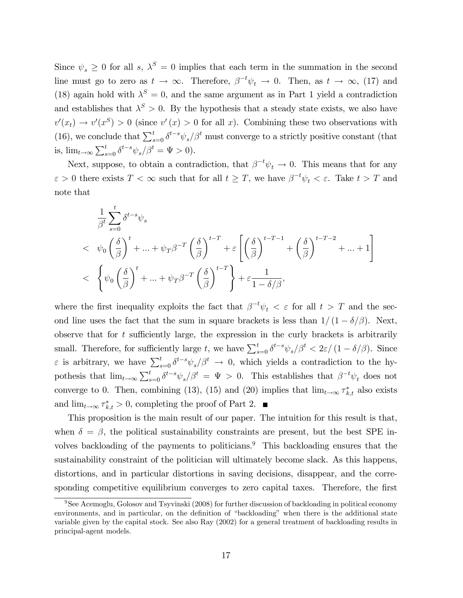Since  $\psi_s \geq 0$  for all s,  $\lambda^S = 0$  implies that each term in the summation in the second line must go to zero as  $t \to \infty$ . Therefore,  $\beta^{-t}\psi_t \to 0$ . Then, as  $t \to \infty$ , (17) and (18) again hold with  $\lambda^{S} = 0$ , and the same argument as in Part 1 yield a contradiction and establishes that  $\lambda^S > 0$ . By the hypothesis that a steady state exists, we also have  $v'(x_t) \to v'(x<sup>S</sup>) > 0$  (since  $v'(x) > 0$  for all x). Combining these two observations with (16), we conclude that  $\sum_{s=0}^{t} \delta^{t-s} \psi_s / \beta^t$  must converge to a strictly positive constant (that is,  $\lim_{t \to \infty} \sum_{s=0}^{t} \delta^{t-s} \psi_s / \beta^t = \Psi > 0$ .

Next, suppose, to obtain a contradiction, that  $\beta^{-t}\psi_t \to 0$ . This means that for any  $\varepsilon > 0$  there exists  $T < \infty$  such that for all  $t \geq T$ , we have  $\beta^{-t}\psi_t < \varepsilon$ . Take  $t > T$  and note that

$$
\frac{1}{\beta^{t}} \sum_{s=0}^{t} \delta^{t-s} \psi_{s}
$$
\n
$$
<\psi_{0} \left(\frac{\delta}{\beta}\right)^{t} + \ldots + \psi_{T} \beta^{-T} \left(\frac{\delta}{\beta}\right)^{t-T} + \varepsilon \left[ \left(\frac{\delta}{\beta}\right)^{t-T-1} + \left(\frac{\delta}{\beta}\right)^{t-T-2} + \ldots + 1 \right]
$$
\n
$$
<\xi \left\{ \psi_{0} \left(\frac{\delta}{\beta}\right)^{t} + \ldots + \psi_{T} \beta^{-T} \left(\frac{\delta}{\beta}\right)^{t-T} \right\} + \varepsilon \frac{1}{1 - \delta/\beta},
$$

where the first inequality exploits the fact that  $\beta^{-t}\psi_t < \varepsilon$  for all  $t > T$  and the second line uses the fact that the sum in square brackets is less than  $1/(1 - \delta/\beta)$ . Next, observe that for  $t$  sufficiently large, the expression in the curly brackets is arbitrarily small. Therefore, for sufficiently large t, we have  $\sum_{s=0}^{t} \delta^{t-s} \psi_s/\beta^t < 2\varepsilon/(1-\delta/\beta)$ . Since  $\varepsilon$  is arbitrary, we have  $\sum_{s=0}^{t} \delta^{t-s} \psi_s / \beta^t \to 0$ , which yields a contradiction to the hypothesis that  $\lim_{t\to\infty}\sum_{s=0}^t \delta^{t-s}\psi_s/\beta^t = \Psi > 0$ . This establishes that  $\beta^{-t}\psi_t$  does not converge to 0. Then, combining (13), (15) and (20) implies that  $\lim_{t\to\infty} \tau_{k,t}^*$  also exists and  $\lim_{t\to\infty} \tau_{k,t}^* > 0$ , completing the proof of Part 2.

This proposition is the main result of our paper. The intuition for this result is that, when  $\delta = \beta$ , the political sustainability constraints are present, but the best SPE involves backloading of the payments to politicians.<sup>9</sup> This backloading ensures that the sustainability constraint of the politician will ultimately become slack. As this happens, distortions, and in particular distortions in saving decisions, disappear, and the corresponding competitive equilibrium converges to zero capital taxes. Therefore, the first

<sup>9</sup>See Acemoglu, Golosov and Tsyvinski (2008) for further discussion of backloading in political economy environments, and in particular, on the definition of "backloading" when there is the additional state variable given by the capital stock. See also Ray (2002) for a general treatment of backloading results in principal-agent models.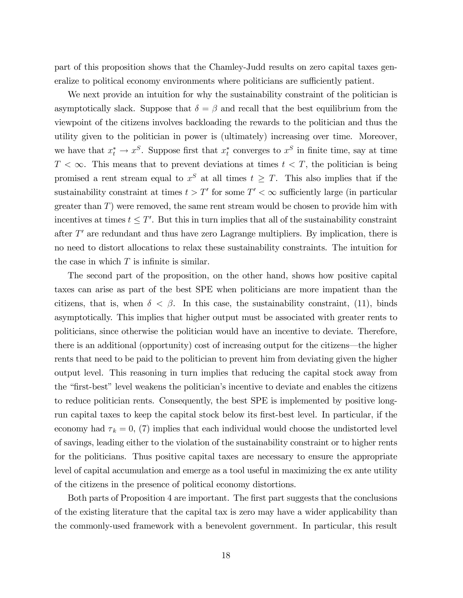part of this proposition shows that the Chamley-Judd results on zero capital taxes generalize to political economy environments where politicians are sufficiently patient.

We next provide an intuition for why the sustainability constraint of the politician is asymptotically slack. Suppose that  $\delta = \beta$  and recall that the best equilibrium from the viewpoint of the citizens involves backloading the rewards to the politician and thus the utility given to the politician in power is (ultimately) increasing over time. Moreover, we have that  $x_t^* \to x^S$ . Suppose first that  $x_t^*$  converges to  $x^S$  in finite time, say at time  $T < \infty$ . This means that to prevent deviations at times  $t < T$ , the politician is being promised a rent stream equal to  $x^S$  at all times  $t \geq T$ . This also implies that if the sustainability constraint at times  $t > T'$  for some  $T' < \infty$  sufficiently large (in particular greater than  $T$ ) were removed, the same rent stream would be chosen to provide him with incentives at times  $t \leq T'$ . But this in turn implies that all of the sustainability constraint after  $T'$  are redundant and thus have zero Lagrange multipliers. By implication, there is no need to distort allocations to relax these sustainability constraints. The intuition for the case in which  $T$  is infinite is similar.

The second part of the proposition, on the other hand, shows how positive capital taxes can arise as part of the best SPE when politicians are more impatient than the citizens, that is, when  $\delta < \beta$ . In this case, the sustainability constraint, (11), binds asymptotically. This implies that higher output must be associated with greater rents to politicians, since otherwise the politician would have an incentive to deviate. Therefore, there is an additional (opportunity) cost of increasing output for the citizens—the higher rents that need to be paid to the politician to prevent him from deviating given the higher output level. This reasoning in turn implies that reducing the capital stock away from the "first-best" level weakens the politician's incentive to deviate and enables the citizens to reduce politician rents. Consequently, the best SPE is implemented by positive longrun capital taxes to keep the capital stock below its first-best level. In particular, if the economy had  $\tau_k = 0$ , (7) implies that each individual would choose the undistorted level of savings, leading either to the violation of the sustainability constraint or to higher rents for the politicians. Thus positive capital taxes are necessary to ensure the appropriate level of capital accumulation and emerge as a tool useful in maximizing the ex ante utility of the citizens in the presence of political economy distortions.

Both parts of Proposition 4 are important. The first part suggests that the conclusions of the existing literature that the capital tax is zero may have a wider applicability than the commonly-used framework with a benevolent government. In particular, this result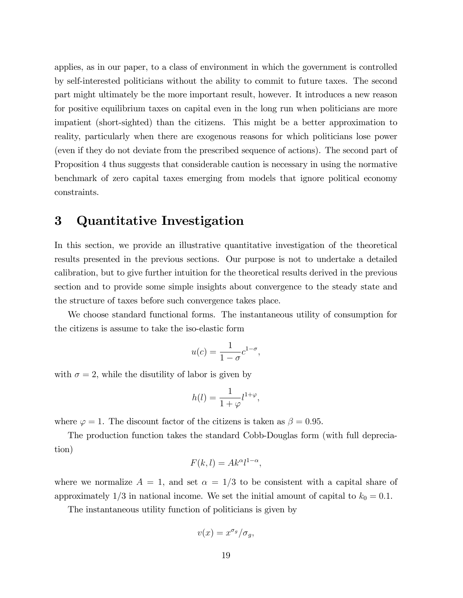applies, as in our paper, to a class of environment in which the government is controlled by self-interested politicians without the ability to commit to future taxes. The second part might ultimately be the more important result, however. It introduces a new reason for positive equilibrium taxes on capital even in the long run when politicians are more impatient (short-sighted) than the citizens. This might be a better approximation to reality, particularly when there are exogenous reasons for which politicians lose power (even if they do not deviate from the prescribed sequence of actions). The second part of Proposition 4 thus suggests that considerable caution is necessary in using the normative benchmark of zero capital taxes emerging from models that ignore political economy constraints.

## 3 Quantitative Investigation

In this section, we provide an illustrative quantitative investigation of the theoretical results presented in the previous sections. Our purpose is not to undertake a detailed calibration, but to give further intuition for the theoretical results derived in the previous section and to provide some simple insights about convergence to the steady state and the structure of taxes before such convergence takes place.

We choose standard functional forms. The instantaneous utility of consumption for the citizens is assume to take the iso-elastic form

$$
u(c) = \frac{1}{1 - \sigma} c^{1 - \sigma},
$$

with  $\sigma = 2$ , while the disutility of labor is given by

$$
h(l) = \frac{1}{1+\varphi}l^{1+\varphi},
$$

where  $\varphi = 1$ . The discount factor of the citizens is taken as  $\beta = 0.95$ .

The production function takes the standard Cobb-Douglas form (with full depreciation)

$$
F(k,l) = Ak^{\alpha}l^{1-\alpha},
$$

where we normalize  $A = 1$ , and set  $\alpha = 1/3$  to be consistent with a capital share of approximately  $1/3$  in national income. We set the initial amount of capital to  $k_0 = 0.1$ .

The instantaneous utility function of politicians is given by

$$
v(x) = x^{\sigma_g}/\sigma_g,
$$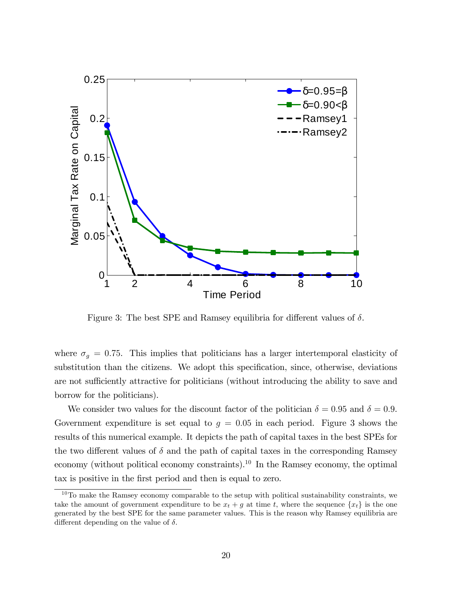

Figure 3: The best SPE and Ramsey equilibria for different values of  $\delta$ .

where  $\sigma_g = 0.75$ . This implies that politicians has a larger intertemporal elasticity of substitution than the citizens. We adopt this specification, since, otherwise, deviations are not sufficiently attractive for politicians (without introducing the ability to save and borrow for the politicians).

We consider two values for the discount factor of the politician  $\delta = 0.95$  and  $\delta = 0.9$ . Government expenditure is set equal to  $g = 0.05$  in each period. Figure 3 shows the results of this numerical example. It depicts the path of capital taxes in the best SPEs for the two different values of  $\delta$  and the path of capital taxes in the corresponding Ramsey economy (without political economy constraints).<sup>10</sup> In the Ramsey economy, the optimal tax is positive in the first period and then is equal to zero.

 $10$ To make the Ramsey economy comparable to the setup with political sustainability constraints, we take the amount of government expenditure to be  $x_t + g$  at time t, where the sequence  $\{x_t\}$  is the one generated by the best SPE for the same parameter values. This is the reason why Ramsey equilibria are different depending on the value of  $\delta$ .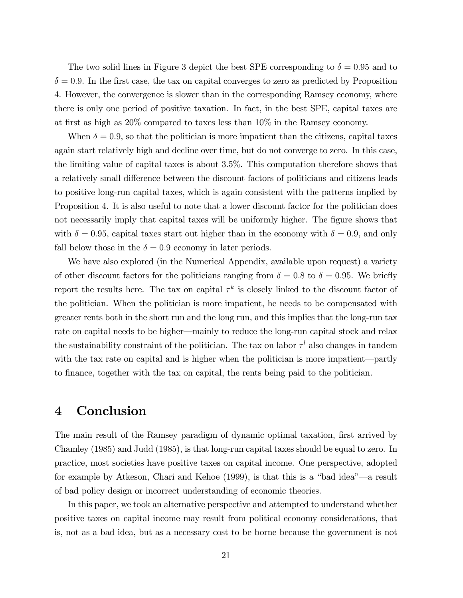The two solid lines in Figure 3 depict the best SPE corresponding to  $\delta = 0.95$  and to  $\delta = 0.9$ . In the first case, the tax on capital converges to zero as predicted by Proposition 4. However, the convergence is slower than in the corresponding Ramsey economy, where there is only one period of positive taxation. In fact, in the best SPE, capital taxes are at first as high as  $20\%$  compared to taxes less than  $10\%$  in the Ramsey economy.

When  $\delta = 0.9$ , so that the politician is more impatient than the citizens, capital taxes again start relatively high and decline over time, but do not converge to zero. In this case, the limiting value of capital taxes is about 3.5%. This computation therefore shows that a relatively small difference between the discount factors of politicians and citizens leads to positive long-run capital taxes, which is again consistent with the patterns implied by Proposition 4. It is also useful to note that a lower discount factor for the politician does not necessarily imply that capital taxes will be uniformly higher. The figure shows that with  $\delta = 0.95$ , capital taxes start out higher than in the economy with  $\delta = 0.9$ , and only fall below those in the  $\delta = 0.9$  economy in later periods.

We have also explored (in the Numerical Appendix, available upon request) a variety of other discount factors for the politicians ranging from  $\delta = 0.8$  to  $\delta = 0.95$ . We briefly report the results here. The tax on capital  $\tau^k$  is closely linked to the discount factor of the politician. When the politician is more impatient, he needs to be compensated with greater rents both in the short run and the long run, and this implies that the long-run tax rate on capital needs to be higher—mainly to reduce the long-run capital stock and relax the sustainability constraint of the politician. The tax on labor  $\tau^l$  also changes in tandem with the tax rate on capital and is higher when the politician is more impatient—partly to Önance, together with the tax on capital, the rents being paid to the politician.

#### 4 Conclusion

The main result of the Ramsey paradigm of dynamic optimal taxation, first arrived by Chamley (1985) and Judd (1985), is that long-run capital taxes should be equal to zero. In practice, most societies have positive taxes on capital income. One perspective, adopted for example by Atkeson, Chari and Kehoe  $(1999)$ , is that this is a "bad idea"—a result of bad policy design or incorrect understanding of economic theories.

In this paper, we took an alternative perspective and attempted to understand whether positive taxes on capital income may result from political economy considerations, that is, not as a bad idea, but as a necessary cost to be borne because the government is not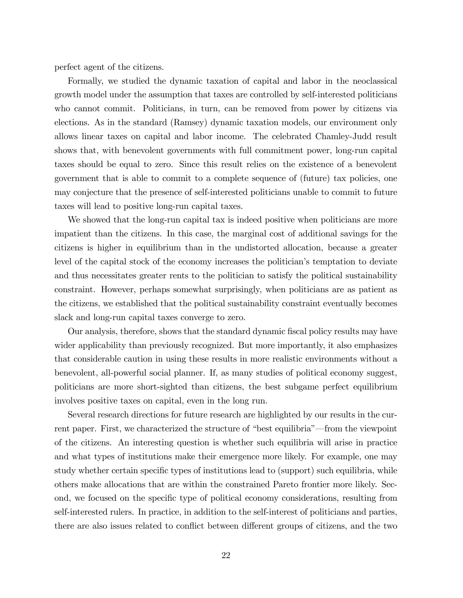perfect agent of the citizens.

Formally, we studied the dynamic taxation of capital and labor in the neoclassical growth model under the assumption that taxes are controlled by self-interested politicians who cannot commit. Politicians, in turn, can be removed from power by citizens via elections. As in the standard (Ramsey) dynamic taxation models, our environment only allows linear taxes on capital and labor income. The celebrated Chamley-Judd result shows that, with benevolent governments with full commitment power, long-run capital taxes should be equal to zero. Since this result relies on the existence of a benevolent government that is able to commit to a complete sequence of (future) tax policies, one may conjecture that the presence of self-interested politicians unable to commit to future taxes will lead to positive long-run capital taxes.

We showed that the long-run capital tax is indeed positive when politicians are more impatient than the citizens. In this case, the marginal cost of additional savings for the citizens is higher in equilibrium than in the undistorted allocation, because a greater level of the capital stock of the economy increases the politician's temptation to deviate and thus necessitates greater rents to the politician to satisfy the political sustainability constraint. However, perhaps somewhat surprisingly, when politicians are as patient as the citizens, we established that the political sustainability constraint eventually becomes slack and long-run capital taxes converge to zero.

Our analysis, therefore, shows that the standard dynamic fiscal policy results may have wider applicability than previously recognized. But more importantly, it also emphasizes that considerable caution in using these results in more realistic environments without a benevolent, all-powerful social planner. If, as many studies of political economy suggest, politicians are more short-sighted than citizens, the best subgame perfect equilibrium involves positive taxes on capital, even in the long run.

Several research directions for future research are highlighted by our results in the current paper. First, we characterized the structure of "best equilibria"—from the viewpoint of the citizens. An interesting question is whether such equilibria will arise in practice and what types of institutions make their emergence more likely. For example, one may study whether certain specific types of institutions lead to (support) such equilibria, while others make allocations that are within the constrained Pareto frontier more likely. Second, we focused on the specific type of political economy considerations, resulting from self-interested rulers. In practice, in addition to the self-interest of politicians and parties, there are also issues related to conflict between different groups of citizens, and the two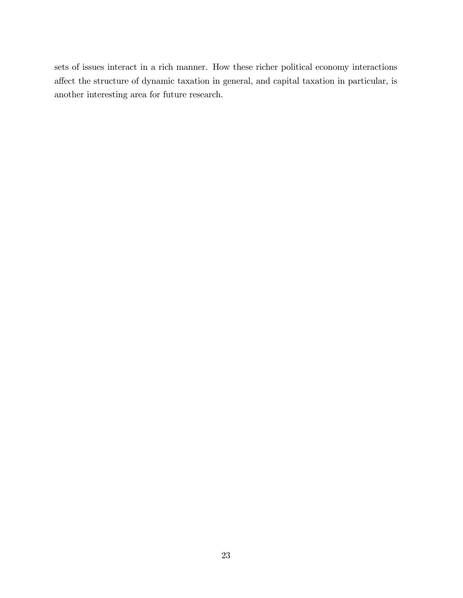sets of issues interact in a rich manner. How these richer political economy interactions affect the structure of dynamic taxation in general, and capital taxation in particular, is another interesting area for future research.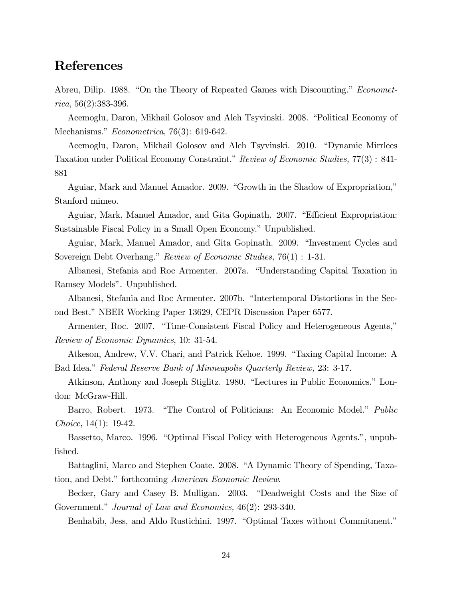### References

Abreu, Dilip. 1988. "On the Theory of Repeated Games with Discounting." *Economet* $rica, 56(2):383-396.$ 

Acemoglu, Daron, Mikhail Golosov and Aleh Tsyvinski. 2008. "Political Economy of Mechanisms." Econometrica, 76(3): 619-642.

Acemoglu, Daron, Mikhail Golosov and Aleh Tsyvinski. 2010. "Dynamic Mirrlees Taxation under Political Economy Constraint." Review of Economic Studies, 77(3) : 841-881

Aguiar, Mark and Manuel Amador. 2009. "Growth in the Shadow of Expropriation," Stanford mimeo.

Aguiar, Mark, Manuel Amador, and Gita Gopinath. 2007. "Efficient Expropriation: Sustainable Fiscal Policy in a Small Open Economy." Unpublished.

Aguiar, Mark, Manuel Amador, and Gita Gopinath. 2009. "Investment Cycles and Sovereign Debt Overhang." Review of Economic Studies,  $76(1)$  : 1-31.

Albanesi, Stefania and Roc Armenter. 2007a. "Understanding Capital Taxation in Ramsey Models". Unpublished.

Albanesi, Stefania and Roc Armenter. 2007b. "Intertemporal Distortions in the Second Best." NBER Working Paper 13629, CEPR Discussion Paper 6577.

Armenter, Roc. 2007. "Time-Consistent Fiscal Policy and Heterogeneous Agents," Review of Economic Dynamics, 10: 31-54.

Atkeson, Andrew, V.V. Chari, and Patrick Kehoe. 1999. "Taxing Capital Income: A Bad Idea." Federal Reserve Bank of Minneapolis Quarterly Review, 23: 3-17.

Atkinson, Anthony and Joseph Stiglitz. 1980. "Lectures in Public Economics." London: McGraw-Hill.

Barro, Robert. 1973. "The Control of Politicians: An Economic Model." Public Choice, 14(1): 19-42.

Bassetto, Marco. 1996. "Optimal Fiscal Policy with Heterogenous Agents.", unpublished.

Battaglini, Marco and Stephen Coate. 2008. "A Dynamic Theory of Spending, Taxation, and Debt." forthcoming American Economic Review.

Becker, Gary and Casey B. Mulligan. 2003. "Deadweight Costs and the Size of Government." Journal of Law and Economics,  $46(2)$ : 293-340.

Benhabib, Jess, and Aldo Rustichini. 1997. "Optimal Taxes without Commitment."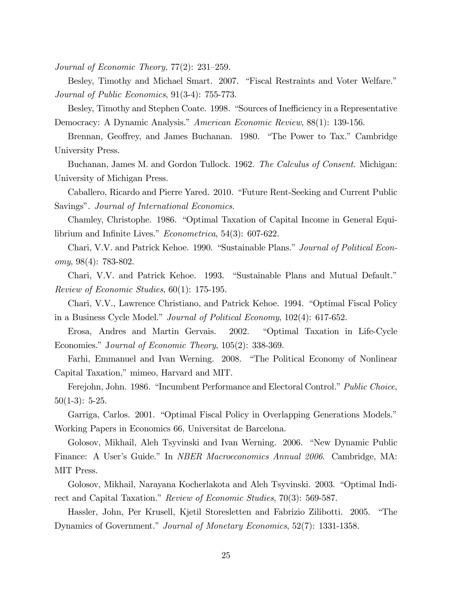Journal of Economic Theory,  $77(2)$ :  $231-259$ .

Besley, Timothy and Michael Smart. 2007. "Fiscal Restraints and Voter Welfare." Journal of Public Economics, 91(3-4): 755-773.

Besley, Timothy and Stephen Coate. 1998. "Sources of Inefficiency in a Representative Democracy: A Dynamic Analysis." American Economic Review, 88(1): 139-156.

Brennan, Geoffrey, and James Buchanan. 1980. "The Power to Tax." Cambridge University Press.

Buchanan, James M. and Gordon Tullock. 1962. The Calculus of Consent. Michigan: University of Michigan Press.

Caballero, Ricardo and Pierre Yared. 2010. "Future Rent-Seeking and Current Public Savings". Journal of International Economics.

Chamley, Christophe. 1986. "Optimal Taxation of Capital Income in General Equilibrium and Infinite Lives."  $Econometrica$ , 54(3): 607-622.

Chari, V.V. and Patrick Kehoe. 1990. "Sustainable Plans." Journal of Political Economy, 98(4): 783-802.

Chari, V.V. and Patrick Kehoe. 1993. "Sustainable Plans and Mutual Default." Review of Economic Studies, 60(1): 175-195.

Chari, V.V., Lawrence Christiano, and Patrick Kehoe. 1994. "Optimal Fiscal Policy in a Business Cycle Model." Journal of Political Economy,  $102(4)$ : 617-652.

Erosa, Andres and Martin Gervais. 2002. "Optimal Taxation in Life-Cycle Economies." Journal of Economic Theory, 105(2): 338-369.

Farhi, Emmanuel and Ivan Werning. 2008. "The Political Economy of Nonlinear Capital Taxation," mimeo, Harvard and MIT.

Ferejohn, John. 1986. "Incumbent Performance and Electoral Control." Public Choice,  $50(1-3): 5-25.$ 

Garriga, Carlos. 2001. "Optimal Fiscal Policy in Overlapping Generations Models." Working Papers in Economics 66, Universitat de Barcelona.

Golosov, Mikhail, Aleh Tsyvinski and Ivan Werning. 2006. "New Dynamic Public Finance: A User's Guide." In *NBER Macroeconomics Annual 2006*. Cambridge, MA: MIT Press.

Golosov, Mikhail, Narayana Kocherlakota and Aleh Tsyvinski. 2003. "Optimal Indirect and Capital Taxation." Review of Economic Studies, 70(3): 569-587.

Hassler, John, Per Krusell, Kjetil Storesletten and Fabrizio Zilibotti. 2005. *"The* Dynamics of Government." Journal of Monetary Economics, 52(7): 1331-1358.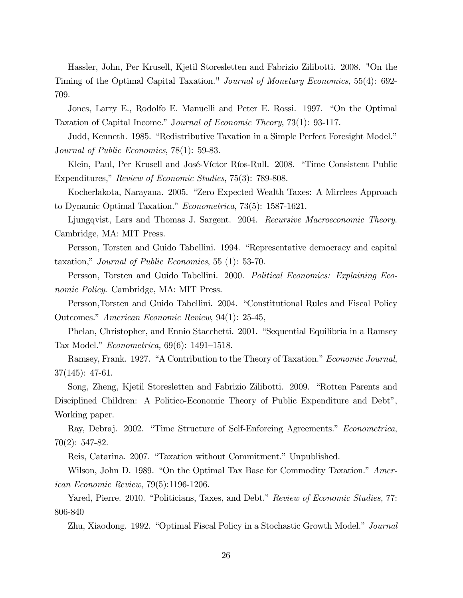Hassler, John, Per Krusell, Kjetil Storesletten and Fabrizio Zilibotti. 2008. "On the Timing of the Optimal Capital Taxation." Journal of Monetary Economics, 55(4): 692- 709.

Jones, Larry E., Rodolfo E. Manuelli and Peter E. Rossi. 1997. "On the Optimal Taxation of Capital Income." Journal of Economic Theory, 73(1): 93-117.

Judd, Kenneth. 1985. "Redistributive Taxation in a Simple Perfect Foresight Model." Journal of Public Economics, 78(1): 59-83.

Klein, Paul, Per Krusell and José-Víctor Ríos-Rull. 2008. "Time Consistent Public Expenditures," Review of Economic Studies, 75(3): 789-808.

Kocherlakota, Narayana. 2005. "Zero Expected Wealth Taxes: A Mirrlees Approach to Dynamic Optimal Taxation."  $Econometrica$ , 73(5): 1587-1621.

Ljungqvist, Lars and Thomas J. Sargent. 2004. Recursive Macroeconomic Theory. Cambridge, MA: MIT Press.

Persson, Torsten and Guido Tabellini. 1994. "Representative democracy and capital taxation," Journal of Public Economics, 55 (1): 53-70.

Persson, Torsten and Guido Tabellini. 2000. Political Economics: Explaining Economic Policy. Cambridge, MA: MIT Press.

Persson, Torsten and Guido Tabellini. 2004. "Constitutional Rules and Fiscal Policy Outcomes." American Economic Review, 94(1): 25-45,

Phelan, Christopher, and Ennio Stacchetti. 2001. "Sequential Equilibria in a Ramsey Tax Model." *Econometrica*,  $69(6)$ : 1491–1518.

Ramsey, Frank. 1927. "A Contribution to the Theory of Taxation." Economic Journal, 37(145): 47-61.

Song, Zheng, Kjetil Storesletten and Fabrizio Zilibotti. 2009. "Rotten Parents and Disciplined Children: A Politico-Economic Theory of Public Expenditure and Debt<sup>n</sup>, Working paper.

Ray, Debraj. 2002. "Time Structure of Self-Enforcing Agreements." Econometrica, 70(2): 547-82.

Reis, Catarina. 2007. "Taxation without Commitment." Unpublished.

Wilson, John D. 1989. "On the Optimal Tax Base for Commodity Taxation."  $Amer$ ican Economic Review, 79(5):1196-1206.

Yared, Pierre. 2010. "Politicians, Taxes, and Debt." Review of Economic Studies, 77: 806-840

Zhu, Xiaodong. 1992. "Optimal Fiscal Policy in a Stochastic Growth Model." *Journal*